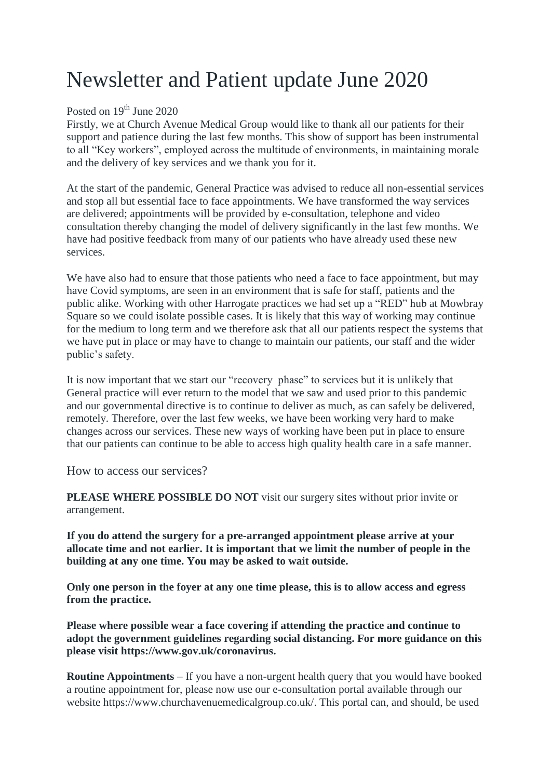## Newsletter and Patient update June 2020

## Posted on 19<sup>th</sup> June 2020

Firstly, we at Church Avenue Medical Group would like to thank all our patients for their support and patience during the last few months. This show of support has been instrumental to all "Key workers", employed across the multitude of environments, in maintaining morale and the delivery of key services and we thank you for it.

At the start of the pandemic, General Practice was advised to reduce all non-essential services and stop all but essential face to face appointments. We have transformed the way services are delivered; appointments will be provided by e-consultation, telephone and video consultation thereby changing the model of delivery significantly in the last few months. We have had positive feedback from many of our patients who have already used these new services.

We have also had to ensure that those patients who need a face to face appointment, but may have Covid symptoms, are seen in an environment that is safe for staff, patients and the public alike. Working with other Harrogate practices we had set up a "RED" hub at Mowbray Square so we could isolate possible cases. It is likely that this way of working may continue for the medium to long term and we therefore ask that all our patients respect the systems that we have put in place or may have to change to maintain our patients, our staff and the wider public's safety.

It is now important that we start our "recovery phase" to services but it is unlikely that General practice will ever return to the model that we saw and used prior to this pandemic and our governmental directive is to continue to deliver as much, as can safely be delivered, remotely. Therefore, over the last few weeks, we have been working very hard to make changes across our services. These new ways of working have been put in place to ensure that our patients can continue to be able to access high quality health care in a safe manner.

How to access our services?

**PLEASE WHERE POSSIBLE DO NOT** visit our surgery sites without prior invite or arrangement.

**If you do attend the surgery for a pre-arranged appointment please arrive at your allocate time and not earlier. It is important that we limit the number of people in the building at any one time. You may be asked to wait outside.**

**Only one person in the foyer at any one time please, this is to allow access and egress from the practice.**

**Please where possible wear a face covering if attending the practice and continue to adopt the government guidelines regarding social distancing. For more guidance on this please visit https://www.gov.uk/coronavirus.**

**Routine Appointments** – If you have a non-urgent health query that you would have booked a routine appointment for, please now use our e-consultation portal available through our website https://www.churchavenuemedicalgroup.co.uk/. This portal can, and should, be used